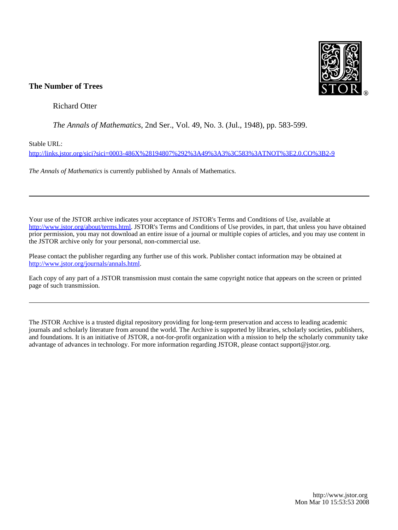

# **The Number of Trees**

Richard Otter

*The Annals of Mathematics*, 2nd Ser., Vol. 49, No. 3. (Jul., 1948), pp. 583-599.

Stable URL:

<http://links.jstor.org/sici?sici=0003-486X%28194807%292%3A49%3A3%3C583%3ATNOT%3E2.0.CO%3B2-9>

*The Annals of Mathematics* is currently published by Annals of Mathematics.

Your use of the JSTOR archive indicates your acceptance of JSTOR's Terms and Conditions of Use, available at [http://www.jstor.org/about/terms.html.](http://www.jstor.org/about/terms.html) JSTOR's Terms and Conditions of Use provides, in part, that unless you have obtained prior permission, you may not download an entire issue of a journal or multiple copies of articles, and you may use content in the JSTOR archive only for your personal, non-commercial use.

Please contact the publisher regarding any further use of this work. Publisher contact information may be obtained at <http://www.jstor.org/journals/annals.html>.

Each copy of any part of a JSTOR transmission must contain the same copyright notice that appears on the screen or printed page of such transmission.

The JSTOR Archive is a trusted digital repository providing for long-term preservation and access to leading academic journals and scholarly literature from around the world. The Archive is supported by libraries, scholarly societies, publishers, and foundations. It is an initiative of JSTOR, a not-for-profit organization with a mission to help the scholarly community take advantage of advances in technology. For more information regarding JSTOR, please contact support@jstor.org.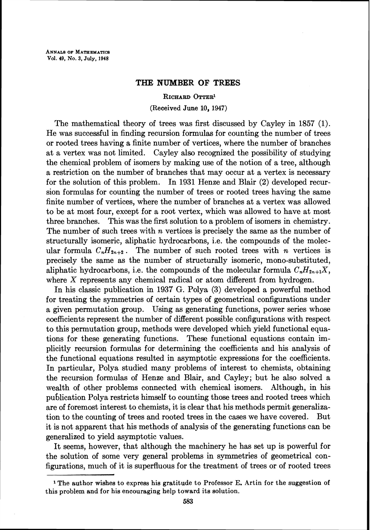## **THE NUMBER OF TREES**

#### **RICHARD OTTER'**

### (Received June **10, 1947)**

The mathematical theory of trees was first discussed by Cayley in 1857 (1). He was successful in finding recursion formulas for counting the number of trees or rooted trees having a finite number of vertices, where the number of branches at a vertex was not limited. Cayley also recognized the possibility of studying the chemical problem of isomers by making use of the notion of a tree, although a restriction on the number of branches that may occur at a vertex is necessary for the solution of this problem. In 1931 Henze and Blair **(2)** developed recursion formulas for counting the number of trees or rooted trees having the same finite number of vertices, where the number of branches at a vertex was allowed to be at most four, except for a root vertex, which was allowed to have at most three branches. This was the first solution to a problem of isomers in chemistry. The number of such trees with  $n$  vertices is precisely the same as the number of structurally isomeric, aliphatic hydrocarbons, i.e. the compounds of the molecular formula  $C_nH_{2n+2}$ . The number of such rooted trees with *n* vertices is precisely the same as the number of structurally isomeric, mono-substituted, aliphatic hydrocarbons, i.e. the compounds of the molecular formula  $C_nH_{2n+1}X$ , where X represents any chemical radical or atom different from hydrogen.

In his classic publication in 1937 G. Polya (3) developed a powerful method for treating the symmetries of certain types of geometrical configurations under a given permutation group. Using as generating functions, power series whose coefficients represent the number of different possible configurations with respect to this permutation group, methods were developed which yield functional equations for these generating functions. These functional equations contain implicitly recursion formulas for determining the coefficients and his analysis of the functional equations resulted in asymptotic expressions for the coefficients. In particular, Polya studied many problems of interest to chemists, obtaining the recursion formulas of Henze and Blair, and Cayley; but he also solved a wealth of other problems connected with chemical isomers. Although, in his publication Polya restricts himself to counting those trees and rooted trees which are of foremost interest to chemists, it is clear that his methods permit generalization to the counting of trees and rooted trees in the cases we have covered. But it is not apparent that his methods of analysis of the generating functions can be generalized to yield asymptotic values.

It seems, however, that although the machinery he has set up is powerful for the solution of some very general problems in symmetries of geometrical configurations, much of it is superfluous for the treatment of trees or of rooted trees

**<sup>1</sup>**The author wishes to express his gratitude to Professor E. Artin for the suggestion of this problem and for his encouraging help toward its solution.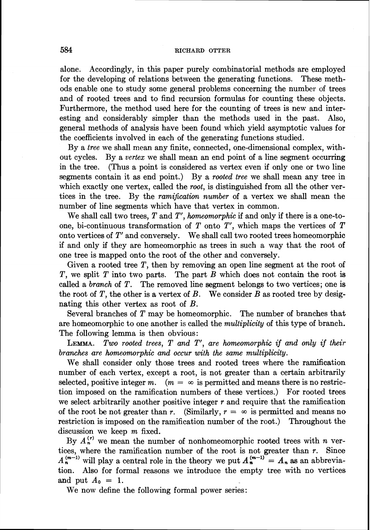alone. Accordingly, in this paper purely combinatorial methods are employed for the developing of relations between the generating functions. These methods enable one to study some general problems concerning the number of trees and of rooted trees and to find recursion formulas for counting these objects. Furthermore, the method used here for the counting of trees is new and interesting and considerably simpler than the methods used in the past. Also, general methods of analysis have been found which yield asymptotic values for the coefficients involved in each of the generating functions studied.

By a tree we shall mean any finite, connected, one-dimensional complex, without cycles. By a vertex we shall mean an end point of a line segment occurring in the tree. (Thus a point is considered as vertex even if only one or two line segments contain it as end point.) By a rooted tree we shall mean any tree in which exactly one vertex, called the root, is distinguished from all the other vertices in the tree. By the *ramification number* of a vertex we shall mean the number of line segments which have that vertex in common.

We shall call two trees,  $T$  and  $T'$ , homeomorphic if and only if there is a one-toone, bi-continuous transformation of  $T$  onto  $T'$ , which maps the vertices of  $T$ onto vertices of T' and conversely. We shall call two rooted trees homeomorphic if and only if they are homeomorphic as trees in such a way that the root of one tree is mapped onto the root of the other and conversely.

Given a rooted tree T, then by removing an open line segment at the root of T, we split T into two parts. The part B which does not contain the root is called a *branch* of  $T$ . The removed line segment belongs to two vertices; one is the root of T, the other is a vertex of B. We consider B as rooted tree by designating this other vertex as root of B.

Several branches of T may be homeomorphic. The number of branches that are homeomorphic to one another is called the multiplicity of this type of branch. The following lemma is then obvious:

LEMMA. Two rooted trees, T and T', are homeomorphic if and only if their branches are homeomorphic and occur with the same multiplicity.

We shall consider only those trees and rooted trees where the ramification number of each vertex, except a root, is not greater than a certain arbitrarily selected, positive integer m.  $(m = \infty$  is permitted and means there is no restriction imposed on the ramification numbers of these vertices.) For rooted trees we select arbitrarily another positive integer  $r$  and require that the ramification of the root be not greater than r. (Similarly,  $r = \infty$  is permitted and means no restriction is imposed on the ramification number of the root.) Throughout the discussion we keep m fixed.

By  $A_n^{(r)}$  we mean the number of nonhomeomorphic rooted trees with n vertices, where the ramification number of the root is not greater than  $r$ . Since  $A_n^{(m-1)}$  will play a central role in the theory we put  $A_n^{(m-1)} = A_n$  as an abbreviation. Also for formal reasons we introduce the empty tree with no vertices and put  $A_0 = 1$ .

We now define the following formal power series: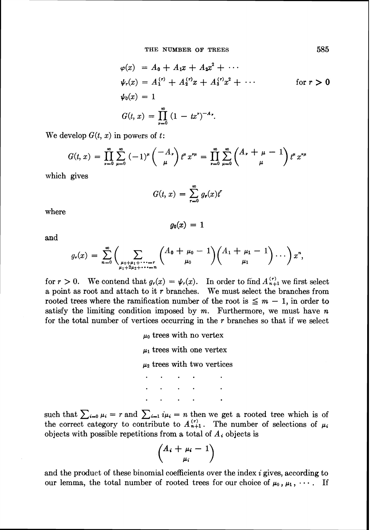$$
\varphi(x) = A_0 + A_1 x + A_2 x^2 + \cdots
$$
  
\n
$$
\psi_r(x) = A_1^{(r)} + A_2^{(r)} x + A_3^{(r)} x^2 + \cdots \qquad \text{for } r > 0
$$
  
\n
$$
\psi_0(x) = 1
$$
  
\n
$$
G(t, x) = \prod_{r=0}^{\infty} (1 - tx^r)^{-A_r}.
$$

We develop  $G(t, x)$  in powers of t:

$$
G(t, x) = \prod_{\nu=0}^{\infty} \sum_{\mu=0}^{\infty} (-1)^{\mu} {\binom{-A_{\nu}}{\mu}} t^{\mu} x^{\nu \mu} = \prod_{\nu=0}^{\infty} \sum_{\mu=0}^{\infty} {\binom{A_{\nu} + \mu - 1}{\mu}} t^{\mu} x^{\nu \mu}
$$

which gives

$$
G(t, x) = \sum_{r=0}^{\infty} g_r(x) t^r
$$

 $g_0(x) = 1$ 

where

and

$$
g_r(x) = \sum_{n=0}^{\infty} \left( \sum_{\substack{\mu_0 + \mu_1 + \cdots + r \\ \mu_1 + 2\mu_2 + \cdots + n}} \binom{A_0 + \mu_0 - 1}{\mu_0} \binom{A_1 + \mu_1 - 1}{\mu_1} \cdots \right) x^n,
$$

for  $r > 0$ . We contend that  $g_r(x) = \psi_r(x)$ . In order to find  $A_{n+1}^{(r)}$  we first select a point as root and attach to it *r* branches. We must select the branches from rooted trees where the ramification number of the root is  $\leq m - 1$ , in order to satisfy the limiting condition imposed by  $m$ . Furthermore, we must have  $n$ for the total number of vertices occurring in the *r* branches so that if we select

> $\mu_0$  trees with no vertex  $\mu_1$  trees with one vertex  $\mu_2$  trees with two vertices  $\mathcal{L}(\mathcal{A})$  and  $\mathcal{L}(\mathcal{A})$  . Then  $\mathbf{r} = \mathbf{r} \cdot \mathbf{r}$  .

such that  $\sum_{i=0} \mu_i = r$  and  $\sum_{i=1} i\mu_i = n$  then we get a rooted tree which is of the correct category to contribute to  $A_{n+1}^{(r)}$ . The number of selections of  $\mu_i$ objects with possible repetitions from a total of  $A_i$  objects is

$$
\binom{A_i+\mu_i-1}{\mu_i}
$$

and the product of these binomial coefficients over the index **i** gives, according to our lemma, the total number of rooted trees for our choice of  $\mu_0$ ,  $\mu_1$ ,  $\cdots$ . If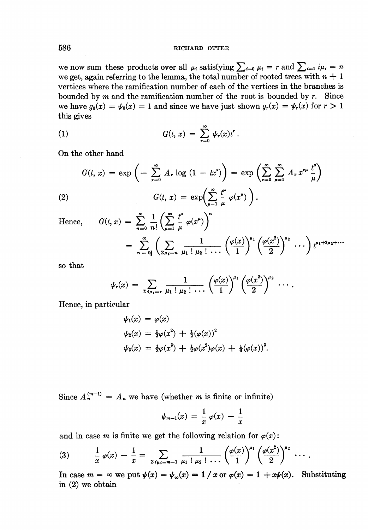we now sum these products over all  $\mu_i$  satisfying  $\sum_{i=0} \mu_i = r$  and  $\sum_{i=1} i \mu_i = n$ we get, again referring to the lemma, the total number of rooted trees with  $n + 1$ vertices where the ramification number of each of the vertices in the branches is bounded by m and the ramification number of the root is bounded by *r.* Since we have  $g_0(x) = \psi_0(x) = 1$  and since we have just shown  $g_r(x) = \psi_r(x)$  for  $r > 1$ this gives

(1) 
$$
G(t, x) = \sum_{r=0}^{\infty} \psi_r(x) t^r.
$$

On the other hand

(2) 
$$
G(t, x) = \exp\left(-\sum_{\nu=0}^{\infty} A_{\nu} \log(1 - tx^{\nu})\right) = \exp\left(\sum_{\nu=0}^{\infty} \sum_{\mu=1}^{\infty} A_{\nu} x^{\nu \mu} \frac{t^{\mu}}{\mu}\right)
$$

$$
G(t, x) = \exp\left(\sum_{\mu=1}^{\infty} \frac{t^{\mu}}{\mu} \varphi(x^{\mu})\right).
$$

Hence,  $G(t, x) = \sum_{n=1}^{\infty} \frac{1}{n} \left( \sum_{n=1}^{\infty} \frac{t^n}{n!} \varphi(x^n) \right)^n$ 

$$
= \sum_{n=0}^{\infty} n! \left( \sum_{2\mu_i=n} \frac{1}{\mu_1! \mu_2! \cdots} \left( \frac{\varphi(x)}{1} \right)^{\mu_1} \left( \frac{\varphi(x^2)}{2} \right)^{\mu_2} \cdots \right) t^{\mu_1+2\mu_2+\cdots}
$$

so that

$$
\psi_r(x) = \sum_{z \mu_{i} = r} \frac{1}{\mu_1 \, \downarrow \, \mu_2 \, \downarrow \, \ldots} \left( \frac{\varphi(x)}{1} \right)^{\mu_1} \left( \frac{\varphi(x^2)}{2} \right)^{\mu_2} \, \ldots \, .
$$

Hence, in particular

$$
\psi_1(x) = \varphi(x)
$$
  
\n
$$
\psi_2(x) = \frac{1}{2}\varphi(x^2) + \frac{1}{2}(\varphi(x))^2
$$
  
\n
$$
\psi_3(x) = \frac{1}{3}\varphi(x^3) + \frac{1}{2}\varphi(x^2)\varphi(x) + \frac{1}{6}(\varphi(x))^3.
$$

Since  $A_n^{(m-1)} = A_n$  we have (whether m is finite or infinite)

$$
\psi_{m-1}(x) = \frac{1}{x} \varphi(x) - \frac{1}{x}
$$

and in case m is finite we get the following relation for  $\varphi(x)$ :

(3) 
$$
\frac{1}{x} \varphi(x) - \frac{1}{x} = \sum_{\substack{z:\mu_i = m-1}} \frac{1}{\mu_1! \mu_2! \cdots} \left(\frac{\varphi(x)}{1}\right)^{\mu_1} \left(\frac{\varphi(x^2)}{2}\right)^{\mu_2} \cdots
$$

In case  $m = \infty$  we put  $\psi(x) = \psi_\infty(x) = 1 / x$  or  $\varphi(x) = 1 + x\psi(x)$ . Substituting in (2) we obtain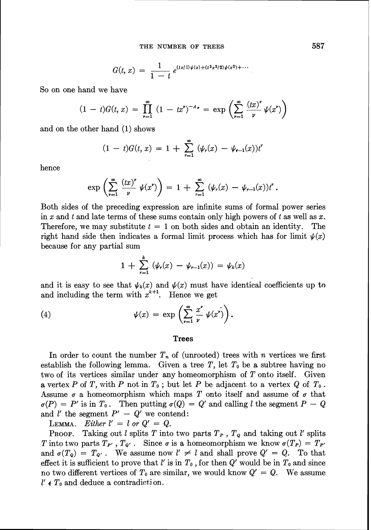$$
G(t, x) = \frac{1}{1-t} e^{(tz/1)\psi(x) + (t^2x^2/2)\psi(x^2) + \cdots}
$$

So on one hand we have

$$
(1-t)G(t,x) = \prod_{\nu=1}^{\infty} (1-tx^{\nu})^{-A_{\nu}} = \exp\left(\sum_{\nu=1}^{\infty} \frac{(tx)^{\nu}}{\nu} \psi(x^{\nu})\right)
$$

and on the other hand (1) shows

$$
(1-t)G(t, x) = 1 + \sum_{r=1}^{\infty} (\psi_r(x) - \psi_{r-1}(x))t^r
$$

hence

$$
\exp\left(\sum_{\nu=1}^{\infty} \frac{(tx)^{\nu}}{\nu} \psi(x^{\nu})\right) = 1 + \sum_{r=1}^{\infty} (\psi_r(x) - \psi_{r-1}(x))t^r.
$$

Both sides of the preceding expression are infinite sums of formal power series in x and *t* and late terms of these sums contain only high powers of t as well as x. Therefore, we may substitute  $t = 1$  on both sides and obtain an identity. The right hand side then indicates a formal limit process which has for limit  $\psi(x)$ because for any partial sum

$$
1 + \sum_{r=1}^{k} (\psi_r(x) - \psi_{r-1}(x)) = \psi_k(x)
$$

and it is easy to see that  $\psi_k(x)$  and  $\psi(x)$  must have identical coefficients up to and including the term with  $x^{k+1}$ . Hence we get

(4) 
$$
\psi(x) = \exp\left(\sum_{\nu=1}^{\infty} \frac{x^{\nu}}{\nu} \psi(x^{\nu})\right).
$$

#### **Trees**

In order to count the number  $T_n$  of (unrooted) trees with n vertices we first establish the following lemma. Given a tree T, let  $T_0$  be a subtree having no two of its vertices similar under any homeomorphism of  $T$  onto itself. Given a vertex P of T, with P not in  $T_0$ ; but let P be adjacent to a vertex Q of  $T_0$ . Assume  $\sigma$  a homeomorphism which maps T onto itself and assume of  $\sigma$  that  $\sigma(P) = P'$  is in  $T_0$ . Then putting  $\sigma(Q) = Q'$  and calling l the segment  $P - Q$ and *l'* the segment  $P' - Q'$  we contend:<br>LEMMA. Either  $l' = l$  or  $Q' = Q$ .

 $Either \t l' = l \t or \t Q' = Q.$ 

**PROOF.** Taking out l splits T into two parts  $T_p$ ,  $T_q$  and taking out l' splits T into two parts  $T_{P}$ ,  $T_{Q}$ . Since  $\sigma$  is a homeomorphism we know  $\sigma(T_P) = T_{P}$ and  $\sigma(T_Q) = T_{Q'}$ . We assume now  $l' \neq l$  and shall prove  $Q' = Q$ . To that effect it is sufficient to prove that  $l'$  is in  $T_0$ , for then  $Q'$  would be in  $T_0$  and since no two different vertices of  $T_0$  are similar, we would know  $Q' = Q$ . We assume  $l' \notin T_0$  and deduce a contradiction.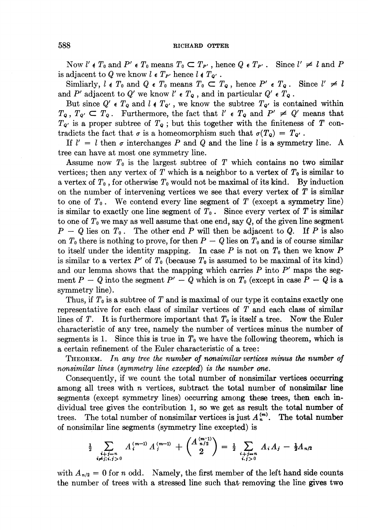Now  $l' \notin T_0$  and  $P' \in T_0$  means  $T_0 \subset T_{P'}$ , hence  $Q \in T_{P'}$ . Since  $l' \neq l$  and  $P$ is adjacent to Q we know  $l \in T_{P'}$  hence  $l \notin T_{Q'}$ .

Simliarly,  $l \notin T_0$  and  $Q \in T_0$  means  $T_0 \subset T_Q$ , hence  $P' \in T_Q$ . Since  $l' \neq l$ and  $P'$  adjacent to  $Q'$  we know  $l' \in T_Q$ , and in particular  $Q' \in T_Q$ .

But since  $Q' \in T_Q$  and  $l \notin T_{Q'}$ , we know the subtree  $T_{Q'}$  is contained within  $T_{\mathbf{Q}}$ ,  $T_{\mathbf{Q}'} \subset T_{\mathbf{Q}}$ . Furthermore, the fact that  $l' \in T_{\mathbf{Q}}$  and  $P' \neq Q'$  means that  $T_{\mathbf{Q}}$  is a proper subtree of  $T_{\mathbf{Q}}$ ; but this together with the finiteness of *T* con-

tradicts the fact that  $\sigma$  is a homeomorphism such that  $\sigma(T_0) = T_0$ .<br>If  $l' = l$  then  $\sigma$  interchanges *P* and *Q* and the line *l* is a symmetry line. A tree can have at most one symmetry line.

Assume now  $T_0$  is the largest subtree of  $T$  which contains no two similar vertices; then any vertex of  $T$  which is a neighbor to a vertex of  $T_0$  is similar to a vertex of  $T_0$ , for otherwise  $T_0$  would not be maximal of its kind. By induction on the number of intervening vertices we see that every vertex of *T* is similar to one of  $T_0$ . We contend every line segment of  $T$  (except a symmetry line) is similar to exactly one line segment of  $T_0$ . Since every vertex of  $T$  is similar to one of *To*we may as well assume that one end, say *Q,*of the given line segment  $P - Q$  lies on  $T_0$ . The other end *P* will then be adjacent to Q. If *P* is also on  $T_0$  there is nothing to prove, for then  $P-Q$  lies on  $T_0$  and is of course similar to itself under the identity mapping. In case  $P$  is not on  $T_0$  then we know  $P$ is similar to a vertex  $P'$  of  $T_0$  (because  $T_0$  is assumed to be maximal of its kind) and our lemma shows that the mapping which carries  $P$  into  $P'$  maps the segment  $P - Q$  into the segment  $P' - Q$  which is on  $T_0$  (except in case  $P - Q$  is a symmetry line).

Thus, if  $T_0$  is a subtree of  $T$  and is maximal of our type it contains exactly one representative for each class of similar vertices of *T* and each class of similar lines of  $T$ . It is furthermore important that  $T_0$  is itself a tree. Now the Euler characteristic of any tree, namely the number of vertices minus the number of segments is 1. Since this is true in  $T_0$  we have the following theorem, which is a certain refinement of the Euler characteristic of a tree:

*THEOREM. In any tree the number of nonsimilar vertices minus the number of nonsimilar lines (symmetry line excepted) is the number one.* 

Consequently, if we count the total number of nonsimilar vertices occurring among all trees with *n* vertices, subtract the total number of nonsimilar line segments (except symmetry lines) occurring among these trees, then each individual tree gives the contribution 1, so we get as result the total number of trees. The total number of nonsimilar vertices is just  $A_n^{(m)}$ . The total number of nonsimilar line segments (symmetry line excepted) is

$$
\frac{1}{2} \sum_{\substack{i+j=n\\i\neq j; i,j>0}} A_i^{(m-1)} A_j^{(m-1)} + \binom{A_{n/2}^{(m-1)}}{2} = \frac{1}{2} \sum_{\substack{i+j=n\\i,j>0}} A_i A_j - \frac{1}{2} A_{n/2}
$$

with  $A_{n/2}=0$  for n odd. Namely, the first member of the left hand side counts the number of trees with a stressed line such that removing the line gives two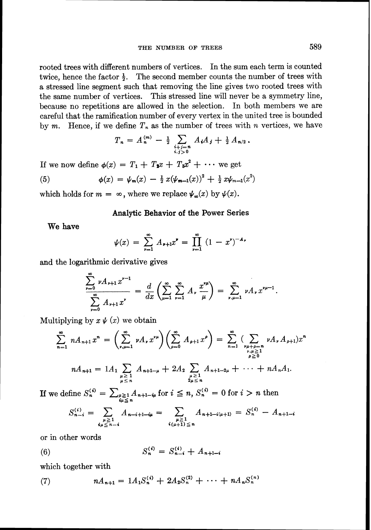rooted trees with different numbers of vertices. In the sum each term is counted twice, hence the factor  $\frac{1}{2}$ . The second member counts the number of trees with a stressed line segment such that removing the line gives two rooted trees with the same number of vertices. This stressed line will never be a symmetry line, because no repetitions are allowed in the selection. In both members we are careful that the ramification number of every vertex in the united tree is bounded by m. Hence, if we define  $T_n$  as the number of trees with n vertices, we have

$$
T_n = A_n^{(m)} - \frac{1}{2} \sum_{\substack{i+j=n \\ i,j>0}} A_i A_j + \frac{1}{2} A_{n/2}.
$$

If we now define  $\phi(x) = T_1 + T_2x + T_3x^2 + \cdots$  we get

(5) 
$$
\phi(x) = \psi_m(x) - \frac{1}{2} x (\psi_{m-1}(x))^2 + \frac{1}{2} x \psi_{m-1}(x^2)
$$

which holds for  $m = \infty$ , where we replace  $\psi_{\infty}(x)$  by  $\psi(x)$ .

## **Analytic Behavior of the Power Series**

**We have** 

$$
\psi(x) = \sum_{\nu=1}^{\infty} A_{\nu+1} x^{\nu} = \prod_{\nu=1}^{\infty} (1 - x^{\nu})^{-A_{\nu}}
$$

and the logarithmic derivative gives

$$
\frac{\sum_{\nu=0} \nu A_{\nu+1} x^{\nu-1}}{\sum_{\nu=0}^{\infty} A_{\nu+1} x^{\nu}} = \frac{d}{dx} \left( \sum_{\mu=1}^{\infty} \sum_{\nu=1}^{\infty} A_{\nu} \frac{x^{\nu \mu}}{\mu} \right) = \sum_{\nu,\mu=1}^{\infty} \nu A_{\nu} x^{\nu \mu-1}.
$$

Multiplying by  $x \psi(x)$  we obtain

$$
\sum_{n=1}^{\infty} n A_{n+1} x^n = \left( \sum_{\substack{p,\mu=1 \ p \geq 1}}^{\infty} \nu A_{\nu} x^{\nu \mu} \right) \left( \sum_{\rho=0}^{\infty} A_{\rho+1} x^{\rho} \right) = \sum_{n=1}^{\infty} \left( \sum_{\substack{p,\mu \geq 1 \ p \geq 1}} \nu A_{\nu} A_{\rho+1} \right) x^n
$$
  

$$
n A_{n+1} = 1 A_1 \sum_{\substack{\mu \geq 1 \ \mu \leq n}} A_{n+1-\mu} + 2 A_2 \sum_{\substack{\mu \geq 1 \ \mu \leq n}} A_{n+1-2\mu} + \cdots + n A_n A_1.
$$

If we define  $S_n^{(i)} = \sum_{\substack{\mu \geq 1 \\ \mu \leq n}} A_{n+1-i\mu}$  for  $i \leq n$ ,  $S_n^{(i)} = 0$  for  $i > n$  then

$$
S_{n-i}^{(i)} = \sum_{\substack{\mu \geq 1 \\ \mu \leq n-i}} A_{n-i+1-i\mu} = \sum_{\substack{\mu \geq 1 \\ \mu \geq 1 \\ \mu \equiv n}} A_{n+1-i(\mu+1)} = S_n^{(i)} - A_{n+1-i}
$$

or in other words

(6) 
$$
S_n^{(i)} = S_{n-i}^{(i)} + A_{n+1-i}
$$

which together with

(7) 
$$
nA_{n+1} = 1A_1S_n^{(i)} + 2A_2S_n^{(2)} + \cdots + nA_nS_n^{(n)}
$$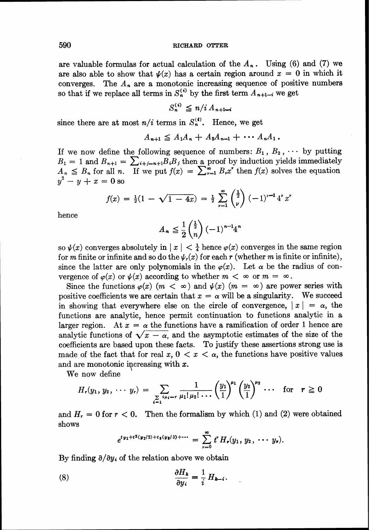are valuable formulas for actual calculation of the  $A_n$ . Using (6) and (7) we are also able to show that  $\psi(x)$  has a certain region around  $x = 0$  in which it converges. The  $A_n$  are a monotonic increasing sequence of positive numbers so that if we replace all terms in  $S_n^{(i)}$  by the first term  $A_{n+1-i}$  we get

$$
S_n^{(i)} \leq n/i \, A_{n+1-i}
$$

since there are at most  $n/i$  terms in  $S_n^{(i)}$ . Hence, we get

$$
A_{n+1} \leq A_1 A_n + A_2 A_{n-1} + \cdots A_n A_1.
$$

If we now define the following sequence of numbers:  $B_1, B_2, \cdots$  by putting  $B_1 = 1$  and  $B_{n+1} = \sum_{i+j=n+1}^{n} B_i B_j$  then a proof by induction yields immediately  $A_n \leq B_n$  for all n. If we put  $f(x) = \sum_{r=1}^{\infty} B_r x^r$  then  $f(x)$  solves the equation  $y^2-y+x=0$  so

$$
f(x) = \frac{1}{2}(1 - \sqrt{1 - 4x}) = \frac{1}{2} \sum_{\nu=1}^{\infty} {\frac{1}{2} \choose \nu} (-1)^{\nu-1} 4^{\nu} x^{\nu}
$$

hence

$$
A_n \leqq \frac{1}{2} \binom{\frac{1}{2}}{n} \left(-1\right)^{n-1} 4^n
$$

so  $\psi(x)$  converges absolutely in  $|x| < \frac{1}{4}$  hence  $\varphi(x)$  converges in the same region for m finite or infinite and so do the  $\psi_r(x)$  for each r (whether m is finite or infinite), since the latter are only polynomials in the  $\varphi(x)$ . Let  $\alpha$  be the radius of convergence of  $\varphi(x)$  or  $\psi(x)$  according to whether  $m < \infty$  or  $m = \infty$ .

Since the functions  $\varphi(x)(m < \infty)$  and  $\psi(x)(m = \infty)$  are power series with positive coefficients we are certain that  $x = \alpha$  will be a singularity. We succeed in showing that everywhere else on the circle of convergence,  $|x| = \alpha$ , the functions are analytic, hence permit continuation to functions analytic in a larger region. At  $x = \alpha$  the functions have a ramification of order 1 hence are analytic functions of  $\sqrt{x - \alpha}$ , and the asymptotic estimates of the size of the coefficients are based upon these facts. To justify these assertions strong use is made of the fact that for real  $x, 0 < x < \alpha$ , the functions have positive values and are monotonic increasing with  $x$ .

We now define

$$
H_r(y_1, y_2, \cdots y_r) = \sum_{\substack{\sum i\mu_i = r \\ i=1}} \frac{1}{\mu_1! \mu_2! \cdots} \left(\frac{y_1}{1}\right)^{\mu_1} \left(\frac{y_2}{1}\right)^{\mu_2} \cdots \text{ for } r \geq 0
$$

and  $H_r = 0$  for  $r < 0$ . Then the formalism by which (1) and (2) were obtained shows

$$
e^{ty_1+t^2(y_2/2)+t_3(y_3/3)+\cdots} = \sum_{\nu=0}^{\infty} t^{\nu} H_{\nu}(y_1, y_2, \cdots y_{\nu}).
$$

By finding  $\partial/\partial y_i$  of the relation above we obtain

(8) 
$$
\frac{\partial H_k}{\partial y_i} = \frac{1}{i} H_{k-i}.
$$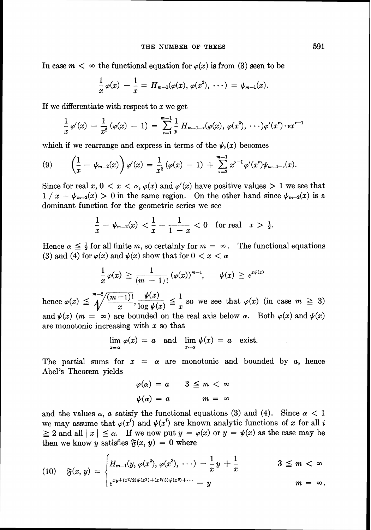In case  $m < \infty$  the functional equation for  $\varphi(x)$  is from (3) seen to be

$$
\frac{1}{x}\varphi(x) - \frac{1}{x} = H_{m-1}(\varphi(x), \varphi(x^2), \cdots) = \psi_{m-1}(x).
$$

If we differentiate with respect to  $x$  we get

$$
\frac{1}{x}\,\varphi'(x) - \frac{1}{x^2}\,(\varphi(x) - 1) = \sum_{\nu=1}^{m-1} \frac{1}{\nu}\,H_{m-1-\nu}(\varphi(x),\,\varphi(x^2),\,\cdots)\varphi'(x^{\nu})\cdot\nu x^{\nu-1}
$$

which if we rearrange and express in terms of the  $\psi_{\nu}(x)$  becomes

(9) 
$$
\left(\frac{1}{x} - \psi_{m-2}(x)\right) \varphi'(x) = \frac{1}{x^2} (\varphi(x) - 1) + \sum_{\nu=2}^{m-1} x^{\nu-1} \varphi'(x^{\nu}) \psi_{m-1-\nu}(x).
$$

Since for real  $x, 0 \le x \le \alpha$ ,  $\varphi(x)$  and  $\varphi'(x)$  have positive values  $> 1$  we see that  $1/x - \psi_{m-2}(x) > 0$  in the same region. On the other hand since  $\psi_{m-2}(x)$  is a dominant function for the geometric series we see<br>  $\frac{1}{x} - \psi_{m-2}(x) < \frac{1}{x} - \frac{1}{1-x} < 0$  for x<sup>2</sup> ( $\sqrt{x}$ )<br>
x) and  $\varphi'(x)$ <br>
me region.<br>
metric series<br>  $\frac{1}{x} - \frac{1}{1-x}$ 

$$
\frac{1}{x} - \psi_{m-2}(x) < \frac{1}{x} - \frac{1}{1-x} < 0 \quad \text{for real} \quad x > \frac{1}{2}.
$$

Hence  $\alpha \leq \frac{1}{2}$  for all finite m, so certainly for  $m = \infty$ . The functional equations (3) and (4) for  $\varphi(x)$  and  $\psi(x)$  show that for  $0 < x < \alpha$ 

$$
\frac{1}{x}\varphi(x) \geqq \frac{1}{(m-1)!} (\varphi(x))^{m-1}, \qquad \psi(x) \geqq e^{x\psi(x)}
$$

hence  $\varphi(x) \leq \sqrt[m-2]{\frac{(m-1)!}{x}}$ ,  $\frac{\psi(x)}{\log \psi(x)} \leq \frac{1}{x}$  so we see that  $\varphi(x)$  (in case  $m \geq 3$ ) and  $\psi(x)$  (m =  $\infty$ ) are bounded on the real axis below  $\alpha$ . Both  $\varphi(x)$  and  $\psi(x)$ are monotonic increasing with  $x$  so that

 $\lim_{x \to a} \varphi(x) = a$  and  $\lim_{x \to a} \psi(x) = a$  exist.

The partial sums for  $x = \alpha$  are monotonic and bounded by a, hence Abel's Theorem yields

$$
\varphi(\alpha) = a \qquad 3 \leq m < \infty
$$
\n
$$
\psi(\alpha) = a \qquad m = \infty
$$

and the values  $\alpha$ , a satisfy the functional equations (3) and (4). Since  $\alpha < 1$ we may assume that  $\varphi(x^i)$  and  $\psi(x^i)$  are known analytic functions of x for all i  $\geq 2$  and all  $|x| \leq \alpha$ . If we now put  $y = \varphi(x)$  or  $y = \psi(x)$  as the case may be then we know y satisfies  $\mathfrak{F}(x, y) = 0$  where

$$
(10) \quad \mathfrak{F}(x, y) = \begin{cases} H_{m-1}(y, \varphi(x^2), \varphi(x^3), \cdots) - \frac{1}{x} y + \frac{1}{x} & 3 \leq m < \infty \\ e^{xy + (x^2/2) \psi(x^2) + (x^3/3) \psi(x^3) + \cdots} - y & m = \infty. \end{cases}
$$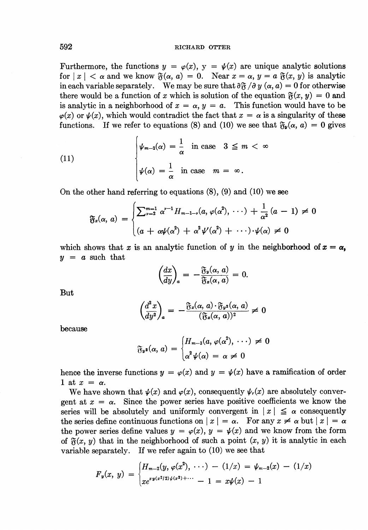Furthermore, the functions  $y = \varphi(x)$ ,  $y = \psi(x)$  are unique analytic solutions for  $|x| < \alpha$  and we know  $\mathfrak{F}(\alpha, a) = 0$ . Near  $x = \alpha, y = a \mathfrak{F}(x, y)$  is analytic in each variable separately. We may be sure that  $\partial \mathfrak{F} / \partial y (\alpha, a) = 0$  for otherwise there would be a function of x which is solution of the equation  $\mathfrak{F}(x, y) = 0$  and is analytic in a neighborhood of  $x = \alpha$ ,  $y = a$ . This function would have to be  $\varphi(x)$  or  $\psi(x)$ , which would contradict the fact that  $x = \alpha$  is a singularity of these functions. If we refer to equations (8) and (10) we see that  $\mathfrak{F}_{\nu}(\alpha, a) = 0$  gives

(11)  

$$
\begin{cases} \psi_{m-2}(\alpha) = \frac{1}{\alpha} & \text{in case} \quad 3 \leq m < \infty \\ \psi(\alpha) = \frac{1}{\alpha} & \text{in case} \quad m = \infty. \end{cases}
$$

On the other hand referring to equations  $(8)$ ,  $(9)$  and  $(10)$  we see

$$
\mathfrak{F}_z(\alpha, a) = \begin{cases} \sum_{\nu=2}^{m-1} \alpha^{\nu-1} H_{m-1-\nu}(a, \varphi(\alpha^2), \cdots) + \frac{1}{\alpha^2} (a-1) \neq 0 \\ (a + \alpha \psi(\alpha^2) + \alpha^2 \psi'(\alpha^2) + \cdots) \cdot \psi(\alpha) \neq 0 \end{cases}
$$

which shows that x is an analytic function of y in the neighborhood of  $x = \alpha$ ,  $y = a$  such that

$$
\left(\frac{dx}{dy}\right)_a = -\frac{\mathfrak{F}_y(\alpha, a)}{\mathfrak{F}_z(\alpha, a)} = 0.
$$

But

$$
\left(\frac{d^2x}{dy^2}\right)_a = -\frac{\mathfrak{F}_x(\alpha, a) \cdot \mathfrak{F}_y(\alpha, a)}{(\mathfrak{F}_x(\alpha, a))^2} \neq 0
$$

because

$$
\mathfrak{F}_{\mathbf{y}^2}(\alpha, a) = \begin{cases} H_{m-3}(a, \varphi(\alpha^2), \cdots) \neq 0 \\ \alpha^2 \psi(\alpha) = \alpha \neq 0 \end{cases}
$$

hence the inverse functions  $y = \varphi(x)$  and  $y = \psi(x)$  have a ramification of order 1 at  $x = \alpha$ .

We have shown that  $\psi(x)$  and  $\varphi(x)$ , consequently  $\psi_r(x)$  are absolutely convergent at  $x = \alpha$ . Since the power series have positive coefficients we know the series will be absolutely and uniformly convergent in  $|x| \leq \alpha$  consequently the series define continuous functions on  $|x| = \alpha$ . For any  $x \neq \alpha$  but  $|x| = \alpha$ the power series define values  $y = \varphi(x)$ ,  $y = \psi(x)$  and we know from the form of  $\mathfrak{F}(x, y)$  that in the neighborhood of such a point  $(x, y)$  it is analytic in each variable separately. If we refer again to  $(10)$  we see that

$$
F_y(x, y) = \begin{cases} H_{m-2}(y, \varphi(x^2), \cdots) - (1/x) = \psi_{m-2}(x) - (1/x) \\ xe^{xy(x^2/2)\psi(x^2)+\cdots} - 1 = x\psi(x) - 1 \end{cases}
$$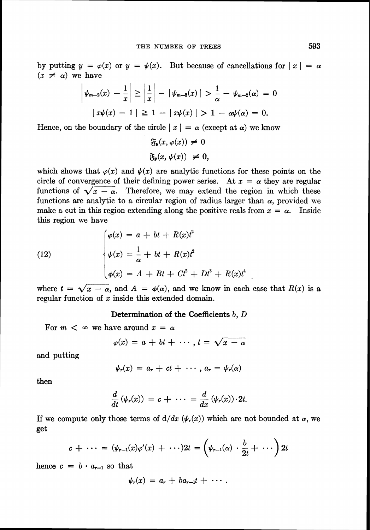by putting  $y = \varphi(x)$  or  $y = \psi(x)$ . But because of cancellations for  $|x| = \alpha$  $(x \neq \alpha)$  we have

$$
\left|\psi_{m-2}(x) - \frac{1}{x}\right| \ge \left|\frac{1}{x}\right| - \left|\psi_{m-2}(x)\right| > \frac{1}{\alpha} - \psi_{m-2}(\alpha) = 0
$$
  

$$
\left|\psi(x) - 1\right| \ge 1 - \left|\psi(x)\right| > 1 - \alpha \psi(\alpha) = 0.
$$

Hence, on the boundary of the circle  $|x| = \alpha$  (except at  $\alpha$ ) we know

$$
\mathfrak{F}_{\nu}(x,\varphi(x)) \neq 0
$$
  

$$
\mathfrak{F}_{\nu}(x,\psi(x)) \neq 0,
$$

which shows that  $\varphi(x)$  and  $\psi(x)$  are analytic functions for these points on the circle of convergence of their defining power series. At  $x = \alpha$  they are regular functions of  $\sqrt{x - \alpha}$ . Therefore, we may extend the region in which these functions are analytic to a circular region of radius larger than  $\alpha$ , provided we make a cut in this region extending along the positive reals from  $x = \alpha$ . Inside this region we have

(12)  

$$
\begin{cases}\n\varphi(x) = a + bt + R(x)t^2 \\
\psi(x) = \frac{1}{\alpha} + bt + R(x)t^2 \\
\phi(x) = A + Bt + Ct^2 + Dt^3 + R(x)t^4\n\end{cases}
$$

where  $t = \sqrt{x - \alpha}$ , and  $A = \phi(\alpha)$ , and we know in each case that  $R(x)$  is a regular function of  $x$  inside this extended domain.

#### **Determination of the Coefficients** *b,* **D**

For  $m < \infty$  we have around  $x = \alpha$ 

$$
\varphi(x) = a + bt + \cdots, t = \sqrt{x - \alpha}
$$

and putting

$$
\psi_r(x) = a_r + ct + \cdots, a_r = \psi_r(\alpha)
$$

then

$$
\frac{d}{dt}(\psi_r(x)) = c + \cdots = \frac{d}{dx}(\psi_r(x)) \cdot 2t.
$$

If we compute only those terms of  $d/dx$  ( $\psi_r(x)$ ) which are not bounded at  $\alpha$ , we get

$$
c + \cdots = (\psi_{r-1}(x)\varphi'(x) + \cdots)2t = \left(\psi_{r-1}(\alpha) \cdot \frac{b}{2t} + \cdots\right)2t
$$

hence  $c = b \cdot a_{r-1}$  so that

$$
\psi_r(x) = a_r + ba_{r-1}t + \cdots.
$$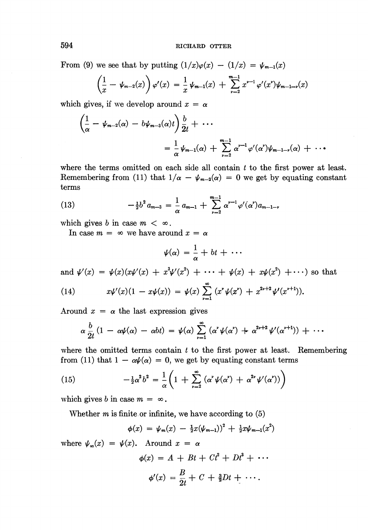From (9) we see that by putting  $(1/x)\varphi(x) - (1/x) = \psi_{m-1}(x)$ 

$$
\left(\frac{1}{x} - \psi_{m-2}(x)\right)\varphi'(x) = \frac{1}{x}\psi_{m-1}(x) + \sum_{\nu=2}^{m-1} x^{\nu-1}\varphi'(x^{\nu})\psi_{m-1-\nu}(x)
$$

which gives, if we develop around  $x = \alpha$ 

$$
\left(\frac{1}{\alpha} - \psi_{m-2}(\alpha) - b\psi_{m-3}(\alpha)t\right)\frac{b}{2t} + \cdots
$$
  

$$
= \frac{1}{\alpha}\psi_{m-1}(\alpha) + \sum_{\nu=2}^{m-1} \alpha^{\nu-1} \varphi'(\alpha^{\nu}) \psi_{m-1-\nu}(\alpha) + \cdots
$$

where the terms omitted on each side all contain *t* to the first power at least. Remembering from (11) that  $1/\alpha - \psi_{m-2}(\alpha) = 0$  we get by equating constant terms

(13) 
$$
-\frac{1}{2}b^2 a_{m-3} = \frac{1}{\alpha} a_{m-1} + \sum_{\nu=2}^{m-1} \alpha^{\nu-1} \varphi'(\alpha') a_{m-1-\nu}
$$

which gives *b* in case  $m < \infty$ .

In case  $m = \infty$  we have around  $x = \alpha$ 

$$
\psi(\alpha) = \frac{1}{\alpha} + bt + \cdots
$$

and  $\psi'(x) = \psi(x)(x\psi'(x) + x^3\psi'(x^2) + \cdots + \psi(x) + x\psi(x^2) + \cdots)$  so that

(14) 
$$
x\psi'(x)(1-x\psi(x)) = \psi(x)\sum_{\nu=1}^{\infty} (x^{\nu}\psi(x^{\nu}) + x^{2\nu+2}\psi'(x^{\nu+1})).
$$

Around  $x = \alpha$  the last expression gives

$$
\alpha \frac{b}{2t} (1 - \alpha \psi(\alpha) - \alpha b t) = \psi(\alpha) \sum_{\nu=1}^{\infty} (\alpha^{\nu} \psi(\alpha^{\nu}) + \alpha^{2\nu+2} \psi'(\alpha^{\nu+1})) + \cdots
$$

where the omitted terms contain *t* to the first power at least. Remembering from (11) that  $1 - \alpha \psi(\alpha) = 0$ , we get by equating constant terms

(15) 
$$
-\frac{1}{2}\alpha^2 b^2 = \frac{1}{\alpha} \left( 1 + \sum_{\nu=2}^{\infty} (\alpha^{\nu} \psi(\alpha^{\nu}) + \alpha^{2\nu} \psi'(\alpha^{\nu})) \right)
$$

which gives *b* in case  $m = \infty$ .

Whether m is finite or infinite, we have according to *(5)* 

$$
\phi(x) = \psi_m(x) - \frac{1}{2}x(\psi_{m-1})^2 + \frac{1}{2}x\psi_{m-1}(x^2)
$$

where  $\psi_{\infty}(x) = \psi(x)$ . Around  $x = \alpha$ 

$$
\phi(x) = A + Bt + Ct^2 + Dt^3 + \cdots
$$

$$
\phi'(x) = \frac{B}{2t} + C + \frac{3}{2}Dt + \cdots
$$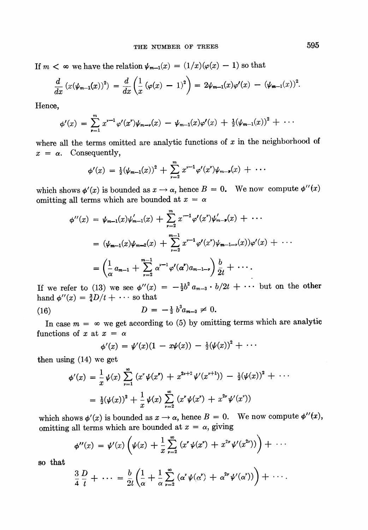If  $m < \infty$  we have the relation  $\psi_{m-1}(x) = (1/x)(\varphi(x) - 1)$  so that

$$
\frac{d}{dx}\left(x(\psi_{m-1}(x))^2\right) = \frac{d}{dx}\left(\frac{1}{x}\left(\varphi(x) - 1\right)^2\right) = 2\psi_{m-1}(x)\varphi'(x) - (\psi_{m-1}(x))^2.
$$

Hence,

$$
\phi'(x) = \sum_{\nu=1}^{m} x^{\nu-1} \varphi'(x^{\nu}) \psi_{m-\nu}(x) - \psi_{m-1}(x) \varphi'(x) + \frac{1}{2} (\psi_{m-1}(x))^2 + \cdots
$$

where all the terms omitted are analytic functions of  $x$  in the neighborhood of  $x = \alpha$ . Consequently,

$$
\phi'(x) = \frac{1}{2}(\psi_{m-1}(x))^2 + \sum_{\nu=2}^m x^{\nu-1} \varphi'(x^{\nu}) \psi_{m-\nu}(x) + \cdots
$$

which shows  $\phi'(x)$  is bounded as  $x \to \alpha$ , hence  $B = 0$ . We now compute  $\phi''(x)$ omitting all terms which are bounded at  $x = \alpha$ 

$$
\phi''(x) = \psi_{m-1}(x)\psi'_{m-1}(x) + \sum_{\nu=2}^{m} x^{\nu-1}\varphi'(x^{\nu})\psi'_{m-\nu}(x) + \cdots
$$
  

$$
= (\psi_{m-1}(x)\psi_{m-2}(x) + \sum_{\nu=2}^{m-1} x^{\nu-1}\varphi'(x^{\nu})\psi_{m-1-\nu}(x))\varphi'(x) + \cdots
$$
  

$$
= \left(\frac{1}{\alpha}a_{m-1} + \sum_{\nu=2}^{m-1} \alpha^{\nu-1}\varphi'(\alpha^{\nu})a_{m-1-\nu}\right)\frac{b}{2t} + \cdots.
$$

If we refer to (13) we see  $\phi''(x) = -\frac{1}{2}b^2 a_{m-3} \cdot b/2t + \cdots$  but on the other hand  $\phi''(x) = \frac{3}{4}D/t + \cdots$  so that

(16) 
$$
D = -\frac{1}{3} b^3 a_{m-3} \neq 0.
$$

In case  $m = \infty$  we get according to (5) by omitting terms which are analytic functions of x at  $x = \alpha$ 

$$
\phi'(x) = \psi'(x)(1 - x\psi(x)) - \frac{1}{2}(\psi(x))^2 + \cdots
$$

then using  $(14)$  we get

$$
\phi'(x) = \frac{1}{x}\psi(x)\sum_{\nu=1}^{\infty} (x^{\nu}\psi(x^{\nu}) + x^{2\nu+2}\psi'(x^{\nu+1})) - \frac{1}{2}(\psi(x))^2 + \cdots
$$

$$
= \frac{1}{2}(\psi(x))^2 + \frac{1}{x}\psi(x)\sum_{\nu=2}^{\infty} (x^{\nu}\psi(x^{\nu}) + x^{2\nu}\psi'(x^{\nu}))
$$

which shows  $\phi'(x)$  is bounded as  $x \to \alpha$ , hence  $B = 0$ . We now compute  $\phi''(x)$ , omitting all terms which are bounded at  $x = \alpha$ , giving

$$
\phi''(x) = \psi'(x) \left( \psi(x) + \frac{1}{x} \sum_{\nu=2}^{\infty} (x^{\nu} \psi(x^{\nu}) + x^{2\nu} \psi'(x^{2\nu})) \right) + \cdots
$$

so that

$$
\frac{3}{4}\frac{D}{t}+\cdots=\frac{b}{2t}\left(\frac{1}{\alpha}+\frac{1}{\alpha}\sum_{\nu=2}^{\infty}\left(\alpha^{\nu}\psi(\alpha^{\nu})+\alpha^{2\nu}\psi'(\alpha^{\nu})\right)\right)+\cdots.
$$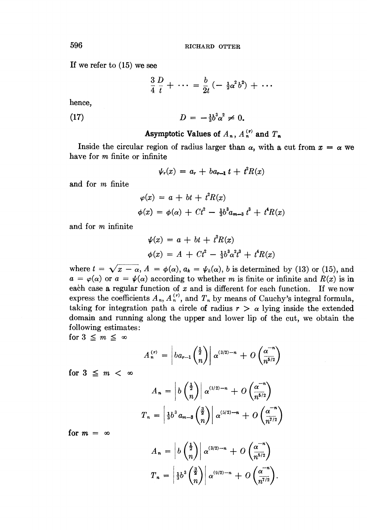If we refer to *(15)*we see

 $\frac{3}{4} \frac{D}{t} + \cdots = \frac{b}{2t} \left( - \frac{1}{2} \alpha^2 b^2 \right) + \cdots$ 

hence,

(17) 
$$
D = -\frac{1}{3}b^3\alpha^2 \neq 0.
$$

# Asymptotic Values of  $A_n$ ,  $A_n^{(r)}$  and  $T_n$

Inside the circular region of radius larger than  $\alpha$ , with a cut from  $x = \alpha$  we have for m finite or infinite

$$
\psi_r(x) = a_r + ba_{r-1} t + t^2 R(x)
$$

and for m finite

$$
\varphi(x) = a + bt + t^2 R(x)
$$
  

$$
\phi(x) = \phi(\alpha) + Ct^2 - \frac{1}{3}b^3 a_{m-3} t^3 + t^4 R(x)
$$

and for m infinite

$$
\psi(x) = a + bt + t^2 R(x) \n\phi(x) = A + Ct^2 - \frac{1}{3}b^3 \alpha^2 t^3 + t^4 R(x)
$$

where  $t = \sqrt{x - \alpha}$ ,  $A = \phi(\alpha)$ ,  $a_k = \psi_k(\alpha)$ , b is determined by (13) or (15), and  $a = \varphi(\alpha)$  or  $a = \psi(\alpha)$  according to whether m is finite or infinite and  $R(x)$  is in each case a regular function of  $x$  and is different for each function. If we now express the coefficients  $A_n$ ,  $A_n^{(r)}$ , and  $T_n$  by means of Cauchy's integral formula, taking for integration path a circle of radius  $r > \alpha$  lying inside the extended domain and running along the upper and lower lip of the cut, me obtain the following estimates :

for  $3 \leq m \leq \infty$ 

$$
A_n^{(r)} = \left| ba_{r-1}\left(\frac{\frac{1}{2}}{n}\right) \right| \alpha^{(3/2)-n} + O\left(\frac{\alpha^{-n}}{n^{5/2}}\right)
$$

for  $3 \leq m < \infty$ 

$$
A_n = \left| b \left( \frac{1}{n} \right) \right| \alpha^{(1/2)-n} + O \left( \frac{\alpha^{-n}}{n^{5/2}} \right)
$$

$$
T_n = \left| \frac{1}{3} b^3 a_{m-3} \left( \frac{3}{n} \right) \right| \alpha^{(5/2)-n} + O \left( \frac{\alpha^{-n}}{n^{7/2}} \right)
$$

for  $m = \infty$ 

$$
A_n = \left| b \left( \frac{\frac{1}{2}}{n} \right) \right| \alpha^{(3/2)-n} + O \left( \frac{\alpha^{-n}}{n^{5/2}} \right)
$$

$$
T_n = \left| \frac{1}{3} b^3 \left( \frac{\frac{3}{2}}{n} \right) \right| \alpha^{(9/2)-n} + O \left( \frac{\alpha^{-n}}{n^{7/2}} \right).
$$

596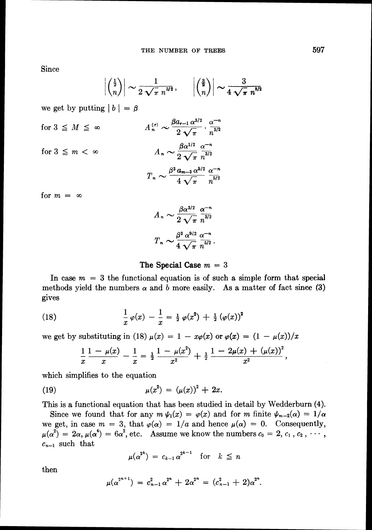Since

$$
\left| \left( \frac{\frac{1}{2}}{n} \right) \right| \sim \frac{1}{2\sqrt{\pi} n^{3/2}}, \qquad \left| \left( \frac{\frac{3}{2}}{n} \right) \right| \sim \frac{3}{4\sqrt{\pi} n^{5/2}}
$$

we get by putting  $|b| = \beta$ 

for 
$$
3 \leq M \leq \infty
$$
  
\n
$$
A_n^{(r)} \sim \frac{\beta a_{r-1} \alpha^{3/2}}{2 \sqrt{\pi}} \cdot \frac{\alpha^{-n}}{n^{3/2}}
$$
\nfor  $3 \leq m < \infty$   
\n
$$
A_n \sim \frac{\beta \alpha^{1/2}}{2 \sqrt{\pi}} \frac{\alpha^{-n}}{n^{3/2}}
$$
\nfor  $m = \infty$ 

$$
A_n \sim \frac{\beta \alpha^{3/2}}{2 \sqrt{\pi}} \frac{\alpha^{-n}}{n^{3/2}}
$$

$$
T_n \sim \frac{\beta^3 \alpha^{9/2}}{4 \sqrt{\pi}} \frac{\alpha^{-n}}{n^{5/2}}.
$$

## The Special Case  $m = 3$

In case  $m = 3$  the functional equation is of such a simple form that special methods yield the numbers  $\alpha$  and b more easily. As a matter of fact since (3) gives

(18) 
$$
\frac{1}{x}\varphi(x) - \frac{1}{x} = \frac{1}{2}\varphi(x^2) + \frac{1}{2}(\varphi(x))^2
$$

we get by substituting in (18)  $\mu(x) = 1 - x\varphi(x)$  or  $\varphi(x) = (1 - \mu(x))/x$ 

$$
\frac{1}{x}\frac{1-\mu(x)}{x}-\frac{1}{x}=\frac{1}{2}\frac{1-\mu(x^2)}{x^2}+\frac{1}{2}\frac{1-2\mu(x)+(\mu(x))^2}{x^2},
$$

which simplifies to the equation

(19) 
$$
\mu(x^2) = (\mu(x))^2 + 2x.
$$

This is a functional equation that has been studied in detail by Wedderburn (4).

Since we found that for any  $m \psi_1(x) = \varphi(x)$  and for *m* finite  $\psi_{m-2}(\alpha) = 1/\alpha$ we get, in case  $m = 3$ , that  $\varphi(\alpha) = 1/a$  and hence  $\mu(\alpha) = 0$ . Consequently,  $\mu(\alpha^2) = 2\alpha$ ,  $\mu(\alpha^4) = 6\alpha^2$ , etc. Assume we know the numbers  $c_0 = 2, c_1, c_2, \cdots$ ,  $c_{n-1}$  such that

$$
\mu(\alpha^{2^k}) = c_{k-1} \alpha^{2^{k-1}} \quad \text{for} \quad k \leq n
$$

then

$$
\mu(\alpha^{2^{n+1}}) = c_{n-1}^2 \alpha^{2^n} + 2\alpha^{2^n} = (c_{n-1}^2 + 2)\alpha^{2^n}.
$$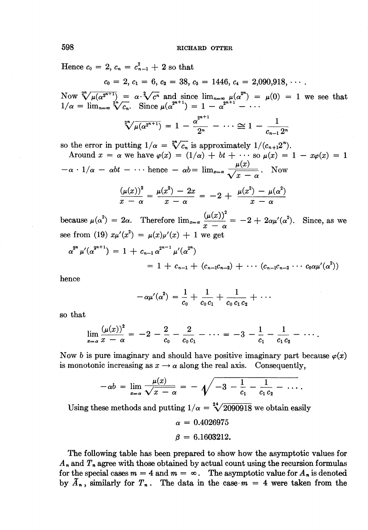Hence  $c_0 = 2$ ,  $c_n = c_{n-1}^2 + 2$  so that

$$
c_1 = 2, c_1 = 6, c_2 = 38, c_3 = 1446, c_4 = 2,090,918, \cdots
$$

Now  $\sqrt[2^n]{\mu(\alpha^{2^{n+1}})} = \alpha \sqrt[2^n]{c^n}$  and since  $\lim_{n \to \infty} \mu(\alpha^{2^n}) = \mu(0) = 1$  we see that Now  $\sqrt[2^n]{\mu(\alpha^{2^{n+1}})} = \alpha \sqrt[2^n]{c^n}$  and since  $\lim_{n=\infty} \frac{1}{\alpha}$ <br>  $\ln 1/\alpha = \lim_{n=\infty} \sqrt[2^n]{c_n}$ . Since  $\mu(\alpha^{2^{n+1}}) = 1 - \alpha^2$ *2*,  $c_1 = 0$ ,  $c_2 = 0$ ,  $c_3 = 1440$ ,  $c_4 = 2$ ,  $c_5 = 1440$ ,  $c_4 = 2$ ,  $c_6 = 1440$ ,  $c_4 = 2$ ,  $c_5 = 1440$ ,  $c_6 = 1440$ ,  $c_6 = 2$ ,  $c_7 = 2$ ,  $c_8 = 1440$ ,  $c_7 = 2$ ,  $c_8 = 2$ ,  $c_9 = 1 + 1$ *2*,  $c_1 = 6$ ,  $c_2 = 38$ ,  $c_3 = 1446$ ,  $c_4 = 2,090,918$ ,  $\frac{1}{2} = \alpha \cdot \sqrt[2]{c^n}$  and since  $\lim_{n \to \infty} \mu(\alpha^{2^n}) = \mu(0) = \frac{1}{n}$ , Since  $\mu(\alpha^{2^{n+1}}) = 1 - \alpha^{2^{n+1}} - \cdots$ <br>  $\sqrt[2^n]{\mu(\alpha^{2^{n+1}})} = 1 - \frac{\alpha^{2^{n+1}}}{2^n} - \cdots \approx 1 - \frac{1}{c_{n-$ 

$$
\sqrt[2^n]{\mu(\alpha^{2^{n+1}})} = 1 - \frac{\alpha^{2^{n+1}}}{2^n} - \cdots \cong 1 - \frac{1}{c_{n-1}2^n}
$$

so the error in putting  $1/\alpha = \sqrt[2^n]{c_n}$  is approximately  $1/(c_{n+1}2^n)$ .

 $\sqrt[2^n]{\mu(\alpha^{2^{n+1}})} = 1 - \frac{\alpha^{2^{n+1}}}{2^n} - \cdots \cong 1 - \frac{\alpha^{2^n}}{c^n}$ <br>
so the error in putting  $1/\alpha = \sqrt[2^n]{c_n}$  is approximately  $1/(c_n)$ <br>
Around  $x = \alpha$  we have  $\varphi(x) = (1/\alpha) + bt + \cdots$  so  $\mu(\alpha) - \alpha \cdot 1/\alpha - \alpha bt - \cdots$  hence  $-\alpha b = \lim_{x \to \alpha} \frac$ Around  $x = \alpha$  we have  $\varphi(x) = (1/\alpha) + bt + \cdots$  so  $\mu(x) = 1 - x\varphi(x) = 1$ 

$$
\frac{(\mu(x))^{2}}{x-\alpha}=\frac{\mu(x^{2})-2x}{x-\alpha}=-2+\frac{\mu(x^{2})-\mu(\alpha^{2})}{x-\alpha}
$$

 $-\alpha \cdot 1/\alpha - \alpha bt - \cdots$  hence  $-\alpha b = \lim_{x \to \alpha} \frac{\mu(x)}{\sqrt{x - \alpha}}$ . Now<br>  $\frac{(\mu(x))^2}{x - \alpha} = \frac{\mu(x^2) - 2x}{x - \alpha} = -2 + \frac{\mu(x^2) - \mu(\alpha^2)}{x - \alpha}$ <br>
because  $\mu(\alpha^2) = 2\alpha$ . Therefore  $\lim_{x \to \alpha} \frac{(\mu(x))^2}{x - \alpha} = -2 + 2\alpha\mu'(\alpha^2)$ <br>
see from (19)  $x\mu'(x^$ because  $\mu(\alpha^2) = 2\alpha$ . Therefore  $\lim_{x \to \alpha} \frac{(\mu(x))^2}{x - \alpha} = -2 + 2\alpha \mu'(\alpha^2)$ . Since, as we see from (19)  $x\mu'(x^2) = \mu(x)\mu'(x) + 1$  we get

$$
\alpha^{2^n} \mu'(\alpha^{2^{n+1}}) = 1 + c_{n-1} \alpha^{2^{n-1}} \mu'(\alpha^{2^n})
$$
  
= 1 + c\_{n-1} + (c\_{n-1}c\_{n-2}) + \cdots (c\_{n-1}c\_{n-2} \cdots c\_0 \alpha \mu'(\alpha^2))

hence

$$
-\alpha\mu'(\alpha^2) = \frac{1}{c_0} + \frac{1}{c_0 c_1} + \frac{1}{c_0 c_1 c_2} + \cdots
$$

so that

$$
\lim_{x=\alpha}\frac{(\mu(x))^2}{x-\alpha} = -2 - \frac{2}{c_0} - \frac{2}{c_0c_1} - \cdots = -3 - \frac{1}{c_1} - \frac{1}{c_1c_2} - \cdots.
$$

Now *b* is pure imaginary and should have positive imaginary part because  $\varphi(x)$ is monotonic increasing as  $x \rightarrow \alpha$  along the real axis. Consequently,

$$
-\alpha b = \lim_{x \to \alpha} \frac{\mu(x)}{\sqrt{x - \alpha}} = -\sqrt{-3 - \frac{1}{c_1} - \frac{1}{c_1 c_2} - \cdots}.
$$

Using these methods and putting  $1/\alpha = \sqrt[2^4]{2090918}$  we obtain easily

 $\alpha = 0.4026975$  $\beta = 6.1603212.$ 

The following table has been prepared to show how the asymptotic values for **A,** and **T,**agree with those obtained by actual count using the recursion formulas for the special cases  $m = 4$  and  $m = \infty$ . The asymptotic value for  $A_n$  is denoted by  $\tilde{A}_n$ , similarly for  $T_n$ . The data in the case- $m = 4$  were taken from the